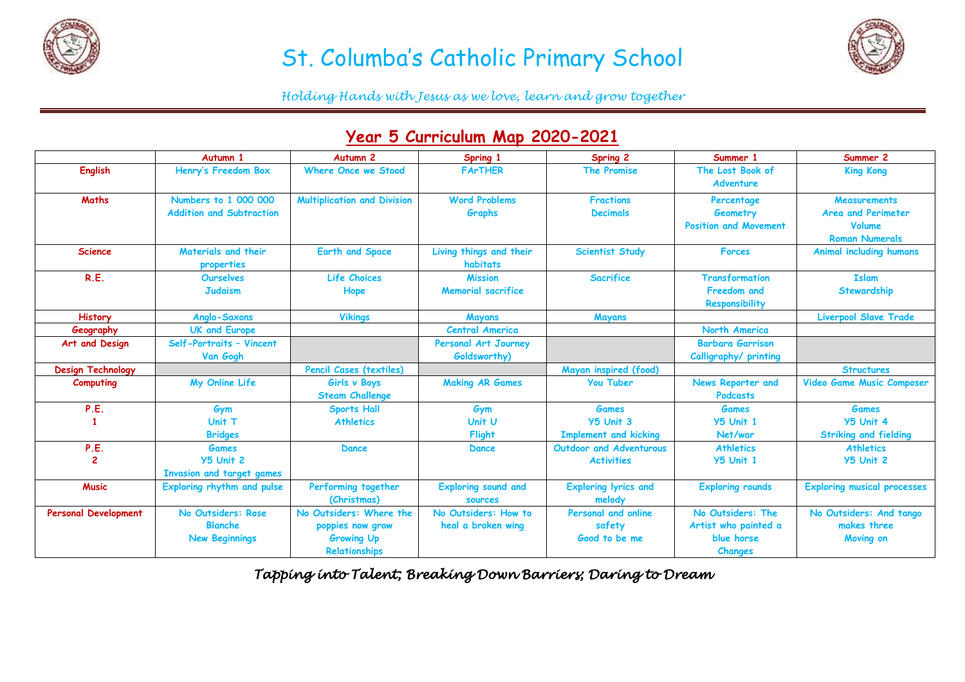

## St. Columba's Catholic Primary School



*Holding Hands with Jesus as we love, learn and grow together*

| $7$ car $\sigma$ carried and map evev ever |                                                               |                                                                                   |                                              |                                                     |                                                                           |                                                                                     |  |  |  |  |
|--------------------------------------------|---------------------------------------------------------------|-----------------------------------------------------------------------------------|----------------------------------------------|-----------------------------------------------------|---------------------------------------------------------------------------|-------------------------------------------------------------------------------------|--|--|--|--|
|                                            | Autumn 1                                                      | <b>Autumn 2</b>                                                                   | Spring 1                                     | Spring 2                                            | Summer 1                                                                  | Summer 2                                                                            |  |  |  |  |
| <b>English</b>                             | Henry's Freedom Box                                           | <b>Where Once we Stood</b>                                                        | <b>FArTHER</b>                               | <b>The Promise</b>                                  | The Lost Book of<br><b>Adventure</b>                                      | <b>King Kong</b>                                                                    |  |  |  |  |
| <b>Maths</b>                               | Numbers to 1 000 000<br><b>Addition and Subtraction</b>       | <b>Multiplication and Division</b>                                                | <b>Word Problems</b><br>Graphs               | <b>Fractions</b><br><b>Decimals</b>                 | Percentage<br>Geometry<br><b>Position and Movement</b>                    | <b>Measurements</b><br>Area and Perimeter<br><b>Volume</b><br><b>Roman Numerals</b> |  |  |  |  |
| <b>Science</b>                             | Materials and their<br>properties                             | <b>Earth and Space</b>                                                            | Living things and their<br>habitats          | <b>Scientist Study</b>                              | <b>Forces</b>                                                             | <b>Animal including humans</b>                                                      |  |  |  |  |
| R.E.                                       | <b>Ourselves</b><br><b>Judaism</b>                            | <b>Life Choices</b><br>Hope                                                       | <b>Mission</b><br><b>Memorial sacrifice</b>  | <b>Sacrifice</b>                                    | <b>Transformation</b><br><b>Freedom and</b><br>Responsibility             | <b>Islam</b><br>Stewardship                                                         |  |  |  |  |
| <b>History</b>                             | Anglo-Saxons                                                  | <b>Vikings</b>                                                                    | Mayans                                       | Mayans                                              |                                                                           | <b>Liverpool Slave Trade</b>                                                        |  |  |  |  |
| Geography                                  | <b>UK and Europe</b>                                          |                                                                                   | <b>Central America</b>                       |                                                     | North America                                                             |                                                                                     |  |  |  |  |
| Art and Design                             | Self-Portraits - Vincent<br>Van Gogh                          |                                                                                   | Personal Art Journey<br>Goldsworthy)         |                                                     | <b>Barbara Garrison</b><br>Calligraphy/ printing                          |                                                                                     |  |  |  |  |
| <b>Design Technology</b>                   |                                                               | Pencil Cases (textiles)                                                           |                                              | Mayan inspired (food)                               |                                                                           | <b>Structures</b>                                                                   |  |  |  |  |
| Computing                                  | My Online Life                                                | Girls v Boys<br><b>Steam Challenge</b>                                            | <b>Making AR Games</b>                       | <b>You Tuber</b>                                    | News Reporter and<br><b>Podcasts</b>                                      | Video Game Music Composer                                                           |  |  |  |  |
| P.E.                                       | Gym                                                           | <b>Sports Hall</b>                                                                | Gym                                          | <b>Games</b>                                        | <b>Games</b>                                                              | <b>Games</b>                                                                        |  |  |  |  |
|                                            | Unit T<br><b>Bridges</b>                                      | <b>Athletics</b>                                                                  | Unit U<br>Flight                             | <b>Y5 Unit 3</b><br><b>Implement and kicking</b>    | <b>Y5 Unit 1</b><br>Net/war                                               | <b>Y5 Unit 4</b><br><b>Striking and fielding</b>                                    |  |  |  |  |
| P.E.<br>$\mathbf{z}$                       | <b>Games</b><br><b>Y5 Unit 2</b><br>Invasion and target games | <b>Dance</b>                                                                      | <b>Dance</b>                                 | <b>Outdoor and Adventurous</b><br><b>Activities</b> | <b>Athletics</b><br><b>Y5 Unit 1</b>                                      | <b>Athletics</b><br><b>Y5 Unit 2</b>                                                |  |  |  |  |
| <b>Music</b>                               | Exploring rhythm and pulse                                    | Performing together<br>(Christmas)                                                | <b>Exploring sound and</b><br><b>sources</b> | <b>Exploring lyrics and</b><br>melody               | <b>Exploring rounds</b>                                                   | <b>Exploring musical processes</b>                                                  |  |  |  |  |
| <b>Personal Development</b>                | No Outsiders: Rose<br><b>Blanche</b><br><b>New Beginnings</b> | No Outsiders: Where the<br>poppies now grow<br><b>Growing Up</b><br>Relationships | No Outsiders: How to<br>heal a broken wing   | Personal and online<br>safety<br>Good to be me      | No Outsiders: The<br>Artist who painted a<br>blue horse<br><b>Changes</b> | No Outsiders: And tango<br>makes three<br>Moving on                                 |  |  |  |  |

## **Year 5 Curriculum Map 2020-2021**

*Tapping into Talent; Breaking Down Barriers; Daring to Dream*